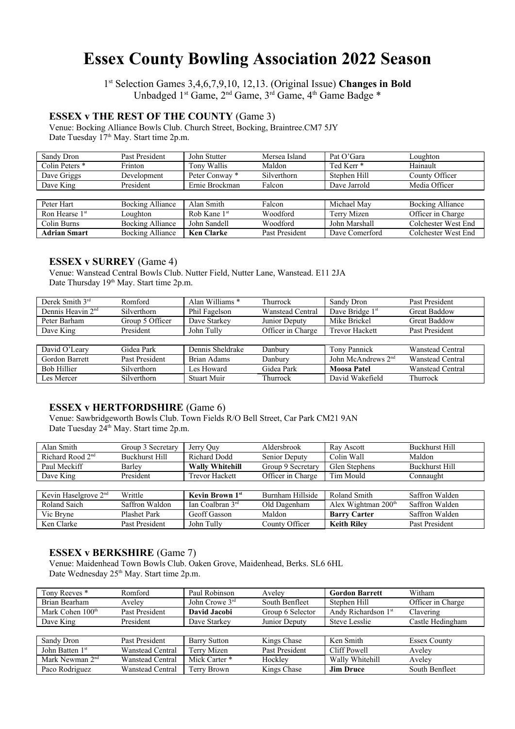# **Essex County Bowling Association 2022 Season**

1 st Selection Games 3,4,6,7,9,10, 12,13. (Original Issue) **Changes in Bold** Unbadged 1<sup>st</sup> Game, 2<sup>nd</sup> Game, 3<sup>rd</sup> Game, 4<sup>th</sup> Game Badge \*

## **ESSEX v THE REST OF THE COUNTY** (Game 3)

Venue: Bocking Alliance Bowls Club. Church Street, Bocking, Braintree.CM7 5JY Date Tuesday 17<sup>th</sup> May. Start time 2p.m.

| Sandy Dron                | Past President | John Stutter   | Mersea Island | Pat O'Gara   | Loughton       |
|---------------------------|----------------|----------------|---------------|--------------|----------------|
| Colin Peters <sup>*</sup> | Frinton        | Tony Wallis    | Maldon        | Ted Kerr *   | Hainault       |
| Dave Griggs               | Development    | Peter Conway * | Silverthorn   | Stephen Hill | County Officer |
| Dave King                 | President      | Ernie Brockman | Falcon        | Dave Jarrold | Media Officer  |
|                           |                |                |               |              |                |

| Peter Hart          | <b>Bocking Alliance</b> | Alan Smith        | Falcon         | Michael May    | <b>Bocking Alliance</b> |
|---------------------|-------------------------|-------------------|----------------|----------------|-------------------------|
| Ron Hearse 1st      | ∟oughton                | Rob Kane $1st$    | Woodford       | Terry Mizen    | Officer in Charge       |
| Colin Burns         | <b>Bocking Alliance</b> | John Sandell      | Woodford       | John Marshall  | Colchester West End     |
| <b>Adrian Smart</b> | Bocking Alliance        | <b>Ken Clarke</b> | Past President | Dave Comerford | Colchester West End     |

#### **ESSEX v SURREY** (Game 4)

Venue: Wanstead Central Bowls Club. Nutter Field, Nutter Lane, Wanstead. E11 2JA Date Thursday 19<sup>th</sup> May. Start time 2p.m.

| Derek Smith 3rd               | Romford         | Alan Williams *    | Thurrock                | Sandy Dron                     | Past President          |
|-------------------------------|-----------------|--------------------|-------------------------|--------------------------------|-------------------------|
| Dennis Heavin 2 <sup>nd</sup> | Silverthorn     | Phil Fagelson      | <b>Wanstead Central</b> | Dave Bridge 1st                | <b>Great Baddow</b>     |
| Peter Barham                  | Group 5 Officer | Dave Starkey       | Junior Deputy           | Mike Brickel                   | <b>Great Baddow</b>     |
| Dave King                     | President       | John Tully         | Officer in Charge       | <b>Trevor Hackett</b>          | Past President          |
|                               |                 |                    |                         |                                |                         |
| David O'Leary                 | Gidea Park      | Dennis Sheldrake   | Danbury                 | Tony Pannick                   | <b>Wanstead Central</b> |
| Gordon Barrett                | Past President  | <b>Brian Adams</b> | Danbury                 | John McAndrews 2 <sup>nd</sup> | <b>Wanstead Central</b> |
| Bob Hillier                   | Silverthorn     | Les Howard         | Gidea Park              | <b>Moosa Patel</b>             | <b>Wanstead Central</b> |
| Les Mercer                    | Silverthorn     | <b>Stuart Muir</b> | <b>Thurrock</b>         | David Wakefield                | Thurrock                |

## **ESSEX v HERTFORDSHIRE** (Game 6)

Venue: Sawbridgeworth Bowls Club. Town Fields R/O Bell Street, Car Park CM21 9AN Date Tuesday 24<sup>th</sup> May. Start time 2p.m.

| Alan Smith                   | Group 3 Secretary     | Jerry Quy              | Aldersbrook       | Ray Ascott            | <b>Buckhurst Hill</b> |
|------------------------------|-----------------------|------------------------|-------------------|-----------------------|-----------------------|
| Richard Rood 2 <sup>nd</sup> | <b>Buckhurst Hill</b> | Richard Dodd           | Senior Deputy     | Colin Wall            | Maldon                |
| Paul Meckiff                 | Barley                | <b>Wally Whitehill</b> | Group 9 Secretary | Glen Stephens         | <b>Buckhurst Hill</b> |
| Dave King                    | President             | <b>Trevor Hackett</b>  | Officer in Charge | Tim Mould             | Connaught             |
|                              |                       |                        |                   |                       |                       |
| Kevin Haselgrove $2nd$       | Writtle               | Kevin Brown 1st        | Burnham Hillside  | Roland Smith          | Saffron Walden        |
| Roland Saich                 | Saffron Waldon        | Ian Coalbran $3rd$     | Old Dagenham      | Alex Wightman $200th$ | Saffron Walden        |
| Vic Bryne                    | <b>Plashet Park</b>   | <b>Geoff Gasson</b>    | Maldon            | <b>Barry Carter</b>   | Saffron Walden        |
| Ken Clarke                   | Past President        | John Tully             | County Officer    | <b>Keith Rilev</b>    | Past President        |

#### **ESSEX v BERKSHIRE** (Game 7)

Venue: Maidenhead Town Bowls Club. Oaken Grove, Maidenhead, Berks. SL6 6HL Date Wednesday 25<sup>th</sup> May. Start time 2p.m.

| Tony Reeves *                | Romford                 | Paul Robinson       | Aveley           | <b>Gordon Barrett</b> | Witham              |
|------------------------------|-------------------------|---------------------|------------------|-----------------------|---------------------|
| Brian Bearham                | Aveley                  | John Crowe 3rd      | South Benfleet   | Stephen Hill          | Officer in Charge   |
| Mark Cohen 100 <sup>th</sup> | Past President          | David Jacobi        | Group 6 Selector | Andy Richardson 1st   | Clavering           |
| Dave King                    | President               | Dave Starkey        | Junior Deputy    | <b>Steve Lesslie</b>  | Castle Hedingham    |
|                              |                         |                     |                  |                       |                     |
| Sandy Dron                   | Past President          | <b>Barry Sutton</b> | Kings Chase      | Ken Smith             | <b>Essex County</b> |
| John Batten 1st              | <b>Wanstead Central</b> | Terry Mizen         | Past President   | Cliff Powell          | Aveley              |
| Mark Newman 2 <sup>nd</sup>  | <b>Wanstead Central</b> | Mick Carter *       | Hockley          | Wally Whitehill       | Aveley              |
| Paco Rodriguez               | <b>Wanstead Central</b> | Terry Brown         | Kings Chase      | <b>Jim Druce</b>      | South Benfleet      |